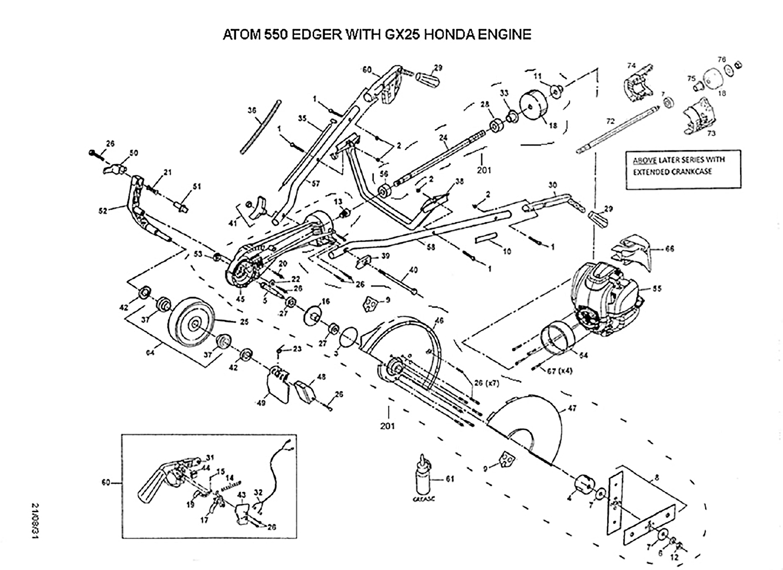## ATOM 550 EDGER WITH GX25 HONDA ENGINE